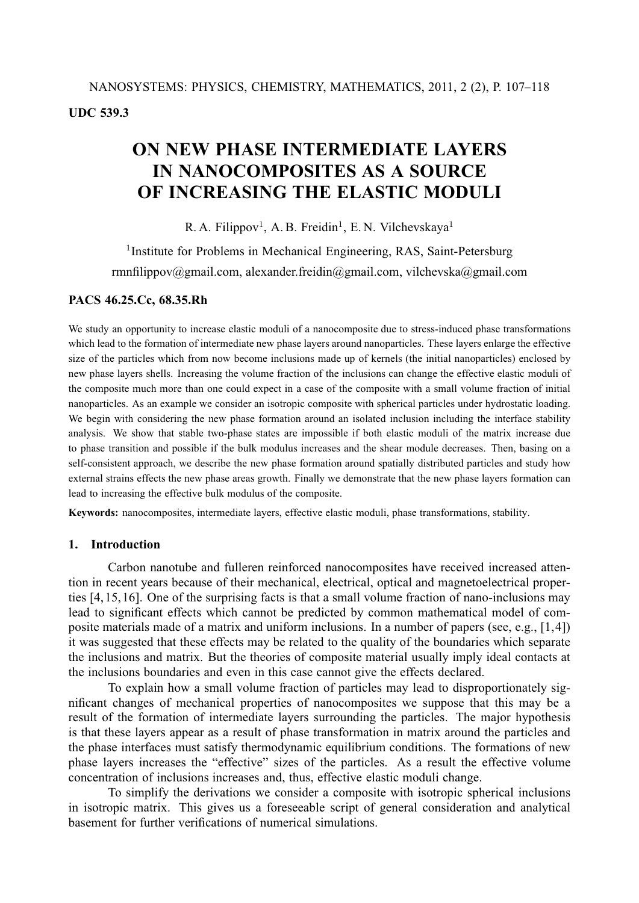# **ON NEW PHASE INTERMEDIATE LAYERS IN NANOCOMPOSITES AS A SOURCE OF INCREASING THE ELASTIC MODULI**

R. A. Filippov<sup>1</sup>, A. B. Freidin<sup>1</sup>, E. N. Vilchevskaya<sup>1</sup>

<sup>1</sup>Institute for Problems in Mechanical Engineering, RAS, Saint-Petersburg rmnfilippov@gmail.com, alexander.freidin@gmail.com, vilchevska@gmail.com

# **PACS 46.25.Cc, 68.35.Rh**

We study an opportunity to increase elastic moduli of a nanocomposite due to stress-induced phase transformations which lead to the formation of intermediate new phase layers around nanoparticles. These layers enlarge the effective size of the particles which from now become inclusions made up of kernels (the initial nanoparticles) enclosed by new phase layers shells. Increasing the volume fraction of the inclusions can change the effective elastic moduli of the composite much more than one could expect in a case of the composite with a small volume fraction of initial nanoparticles. As an example we consider an isotropic composite with spherical particles under hydrostatic loading. We begin with considering the new phase formation around an isolated inclusion including the interface stability analysis. We show that stable two-phase states are impossible if both elastic moduli of the matrix increase due to phase transition and possible if the bulk modulus increases and the shear module decreases. Then, basing on a self-consistent approach, we describe the new phase formation around spatially distributed particles and study how external strains effects the new phase areas growth. Finally we demonstrate that the new phase layers formation can lead to increasing the effective bulk modulus of the composite.

**Keywords:** nanocomposites, intermediate layers, effective elastic moduli, phase transformations, stability.

# **1. Introduction**

Carbon nanotube and fulleren reinforced nanocomposites have received increased attention in recent years because of their mechanical, electrical, optical and magnetoelectrical properties [4, 15, 16]. One of the surprising facts is that a small volume fraction of nano-inclusions may lead to significant effects which cannot be predicted by common mathematical model of composite materials made of a matrix and uniform inclusions. In a number of papers (see, e.g., [1,4]) it was suggested that these effects may be related to the quality of the boundaries which separate the inclusions and matrix. But the theories of composite material usually imply ideal contacts at the inclusions boundaries and even in this case cannot give the effects declared.

To explain how a small volume fraction of particles may lead to disproportionately significant changes of mechanical properties of nanocomposites we suppose that this may be a result of the formation of intermediate layers surrounding the particles. The major hypothesis is that these layers appear as a result of phase transformation in matrix around the particles and the phase interfaces must satisfy thermodynamic equilibrium conditions. The formations of new phase layers increases the "effective" sizes of the particles. As a result the effective volume concentration of inclusions increases and, thus, effective elastic moduli change.

To simplify the derivations we consider a composite with isotropic spherical inclusions in isotropic matrix. This gives us a foreseeable script of general consideration and analytical basement for further verifications of numerical simulations.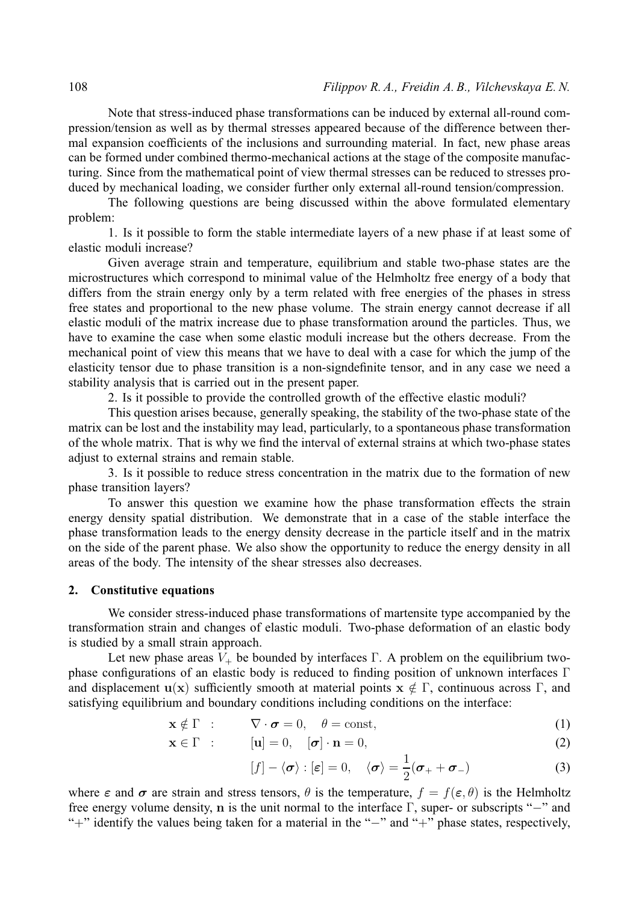Note that stress-induced phase transformations can be induced by external all-round compression/tension as well as by thermal stresses appeared because of the difference between thermal expansion coefficients of the inclusions and surrounding material. In fact, new phase areas can be formed under combined thermo-mechanical actions at the stage of the composite manufacturing. Since from the mathematical point of view thermal stresses can be reduced to stresses produced by mechanical loading, we consider further only external all-round tension/compression.

The following questions are being discussed within the above formulated elementary problem:

1. Is it possible to form the stable intermediate layers of a new phase if at least some of elastic moduli increase?

Given average strain and temperature, equilibrium and stable two-phase states are the microstructures which correspond to minimal value of the Helmholtz free energy of a body that differs from the strain energy only by a term related with free energies of the phases in stress free states and proportional to the new phase volume. The strain energy cannot decrease if all elastic moduli of the matrix increase due to phase transformation around the particles. Thus, we have to examine the case when some elastic moduli increase but the others decrease. From the mechanical point of view this means that we have to deal with a case for which the jump of the elasticity tensor due to phase transition is a non-signdefinite tensor, and in any case we need a stability analysis that is carried out in the present paper.

2. Is it possible to provide the controlled growth of the effective elastic moduli?

This question arises because, generally speaking, the stability of the two-phase state of the matrix can be lost and the instability may lead, particularly, to a spontaneous phase transformation of the whole matrix. That is why we find the interval of external strains at which two-phase states adjust to external strains and remain stable.

3. Is it possible to reduce stress concentration in the matrix due to the formation of new phase transition layers?

To answer this question we examine how the phase transformation effects the strain energy density spatial distribution. We demonstrate that in a case of the stable interface the phase transformation leads to the energy density decrease in the particle itself and in the matrix on the side of the parent phase. We also show the opportunity to reduce the energy density in all areas of the body. The intensity of the shear stresses also decreases.

#### **2. Constitutive equations**

We consider stress-induced phase transformations of martensite type accompanied by the transformation strain and changes of elastic moduli. Two-phase deformation of an elastic body is studied by a small strain approach.

Let new phase areas  $V_+$  be bounded by interfaces Γ. A problem on the equilibrium twophase configurations of an elastic body is reduced to finding position of unknown interfaces Γ and displacement  $u(x)$  sufficiently smooth at material points  $x \notin \Gamma$ , continuous across  $\Gamma$ , and satisfying equilibrium and boundary conditions including conditions on the interface:

$$
\mathbf{x} \notin \Gamma : \qquad \nabla \cdot \boldsymbol{\sigma} = 0, \quad \theta = \text{const}, \tag{1}
$$

$$
\mathbf{x} \in \Gamma : \qquad [\mathbf{u}] = 0, \quad [\boldsymbol{\sigma}] \cdot \mathbf{n} = 0,\tag{2}
$$

$$
[f] - \langle \boldsymbol{\sigma} \rangle : [\boldsymbol{\varepsilon}] = 0, \quad \langle \boldsymbol{\sigma} \rangle = \frac{1}{2} (\boldsymbol{\sigma}_+ + \boldsymbol{\sigma}_-) \tag{3}
$$

where  $\epsilon$  and  $\sigma$  are strain and stress tensors,  $\theta$  is the temperature,  $f = f(\epsilon, \theta)$  is the Helmholtz free energy volume density, **n** is the unit normal to the interface Γ, super- or subscripts "−" and "+" identify the values being taken for a material in the "−" and "+" phase states, respectively,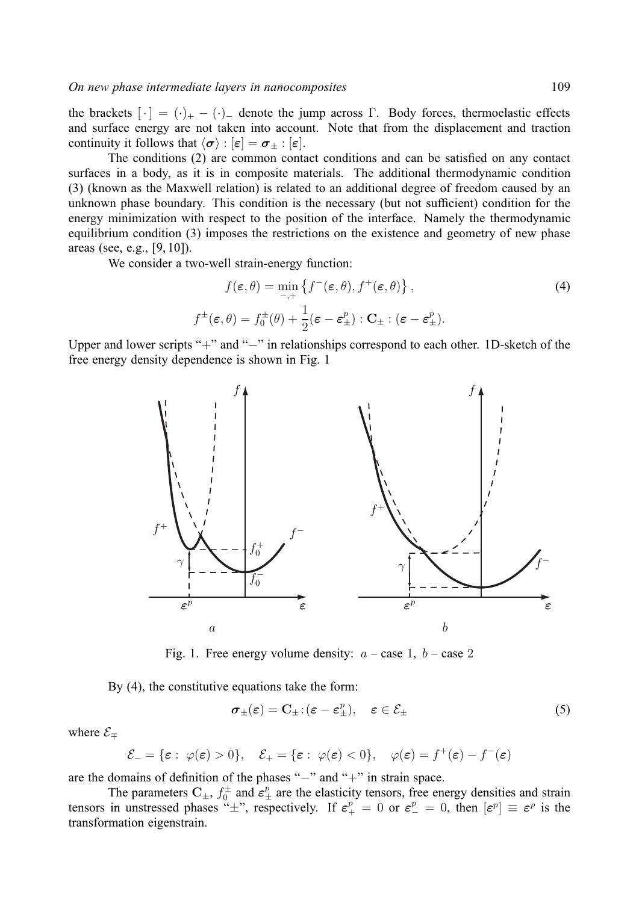the brackets  $[\cdot] = (\cdot)_+ - (\cdot)_-$  denote the jump across  $\Gamma$ . Body forces, thermoelastic effectsand surface energy are not taken into account. Note that from the displacement and traction continuity it follows that  $\langle \sigma \rangle : |\varepsilon| = \sigma_{\pm} : |\varepsilon|$ .

The conditions (2) are common contact conditions and can be satisfied on any contact surfaces in a body, as it is in composite materials. The additional thermodynamic condition (3) (known as the Maxwell relation) is related to an additional degree of freedom caused by an unknown phase boundary. This condition is the necessary (but not sufficient) condition for the energy minimization with respect to the position of the interface. Namely the thermodynamic equilibrium condition (3) imposes the restrictions on the existence and geometry of new phase areas (see, e.g., [9, 10]).

We consider a two-well strain-energy function:

$$
f(\varepsilon, \theta) = \min_{-\lambda} \left\{ f^-(\varepsilon, \theta), f^+(\varepsilon, \theta) \right\},\tag{4}
$$

$$
f^{\pm}(\varepsilon, \theta) = f_0^{\pm}(\theta) + \frac{1}{2}(\varepsilon - \varepsilon_{\pm}^p) : \mathbf{C}_{\pm} : (\varepsilon - \varepsilon_{\pm}^p).
$$

Upper and lower scripts "+" and "−" in relationships correspond to each other. 1D-sketch of the free energy density dependence is shown in Fig. 1



Fig. 1. Free energy volume density:  $a - \cose 1$ ,  $b - \cose 2$ 

By (4), the constitutive equations take the form:

$$
\boldsymbol{\sigma}_{\pm}(\boldsymbol{\varepsilon}) = \mathbf{C}_{\pm} : (\boldsymbol{\varepsilon} - \boldsymbol{\varepsilon}_{\pm}^p), \quad \boldsymbol{\varepsilon} \in \mathcal{E}_{\pm}
$$
 (5)

where  $\mathcal{E}_{\mp}$ 

$$
\mathcal{E}_{-} = \{\varepsilon : \ \varphi(\varepsilon) > 0\}, \quad \mathcal{E}_{+} = \{\varepsilon : \ \varphi(\varepsilon) < 0\}, \quad \varphi(\varepsilon) = f^{+}(\varepsilon) - f^{-}(\varepsilon)
$$

are the domains of definition of the phases "−" and "+" in strain space.

The parameters  $C_{\pm}$ ,  $f_0^{\pm}$  and  $\varepsilon_{\pm}^p$  are the elasticity tensors, free energy densities and strain tensors in unstressed phases " $\pm$ ", respectively. If  $\varepsilon_+^p = 0$  or  $\varepsilon_-^p = 0$ , then  $[\varepsilon^p] \equiv \varepsilon^p$  is the transformation eigenstrain.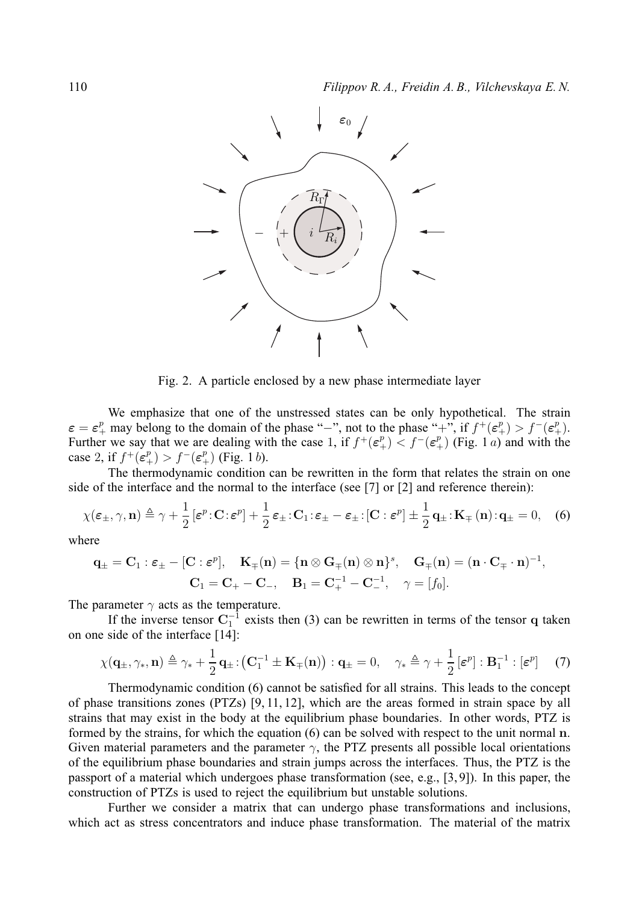

Fig. 2. A particle enclosed by a new phase intermediate layer

We emphasize that one of the unstressed states can be only hypothetical. The strain  $\varepsilon = \varepsilon_+^p$  may belong to the domain of the phase "-", not to the phase "+", if  $f^+(\varepsilon_+^p) > f^-(\varepsilon_+^p)$ . Further we say that we are dealing with the case 1, if  $f^+(\varepsilon_+^p) < f^-(\varepsilon_+^p)$  (Fig. 1*a*) and with the case 2, if  $f^+(\varepsilon^p_+) > f^-(\varepsilon^p_+)$  (Fig. 1b).

The thermodynamic condition can be rewritten in the form that relates the strain on one side of the interface and the normal to the interface (see [7] or [2] and reference therein):

$$
\chi(\varepsilon_{\pm}, \gamma, \mathbf{n}) \triangleq \gamma + \frac{1}{2} \left[ \varepsilon^p \cdot \mathbf{C} : \varepsilon^p \right] + \frac{1}{2} \varepsilon_{\pm} \cdot \mathbf{C}_1 : \varepsilon_{\pm} - \varepsilon_{\pm} : \left[ \mathbf{C} : \varepsilon^p \right] \pm \frac{1}{2} \mathbf{q}_{\pm} : \mathbf{K}_{\mp} \left( \mathbf{n} \right) : \mathbf{q}_{\pm} = 0, \quad (6)
$$

where

$$
\mathbf{q}_{\pm} = \mathbf{C}_1 : \boldsymbol{\varepsilon}_{\pm} - [\mathbf{C} : \boldsymbol{\varepsilon}^p], \quad \mathbf{K}_{\mp}(\mathbf{n}) = \{ \mathbf{n} \otimes \mathbf{G}_{\mp}(\mathbf{n}) \otimes \mathbf{n} \}^s, \quad \mathbf{G}_{\mp}(\mathbf{n}) = (\mathbf{n} \cdot \mathbf{C}_{\mp} \cdot \mathbf{n})^{-1},
$$

$$
\mathbf{C}_1 = \mathbf{C}_{+} - \mathbf{C}_{-}, \quad \mathbf{B}_1 = \mathbf{C}_{+}^{-1} - \mathbf{C}_{-}^{-1}, \quad \gamma = [f_0].
$$

The parameter  $\gamma$  acts as the temperature.

If the inverse tensor  $C_1^{-1}$  exists then (3) can be rewritten in terms of the tensor q taken on one side of the interface [14]:

$$
\chi(\mathbf{q}_{\pm},\gamma_*,\mathbf{n}) \triangleq \gamma_* + \frac{1}{2}\mathbf{q}_{\pm} : (\mathbf{C}_1^{-1} \pm \mathbf{K}_{\mp}(\mathbf{n})) : \mathbf{q}_{\pm} = 0, \quad \gamma_* \triangleq \gamma + \frac{1}{2} \left[\boldsymbol{\varepsilon}^p\right] : \mathbf{B}_1^{-1} : \left[\boldsymbol{\varepsilon}^p\right] \tag{7}
$$

Thermodynamic condition (6) cannot be satisfied for all strains. This leads to the concept of phase transitions zones (PTZs) [9, 11, 12], which are the areas formed in strain space by all strains that may exist in the body at the equilibrium phase boundaries. In other words, PTZ is formed by the strains, for which the equation (6) can be solved with respect to the unit normal **n**. Given material parameters and the parameter  $\gamma$ , the PTZ presents all possible local orientations of the equilibrium phase boundaries and strain jumps across the interfaces. Thus, the PTZ is the passport of a material which undergoes phase transformation (see, e.g., [3, 9]). In this paper, the construction of PTZs is used to reject the equilibrium but unstable solutions.

Further we consider a matrix that can undergo phase transformations and inclusions, which act as stress concentrators and induce phase transformation. The material of the matrix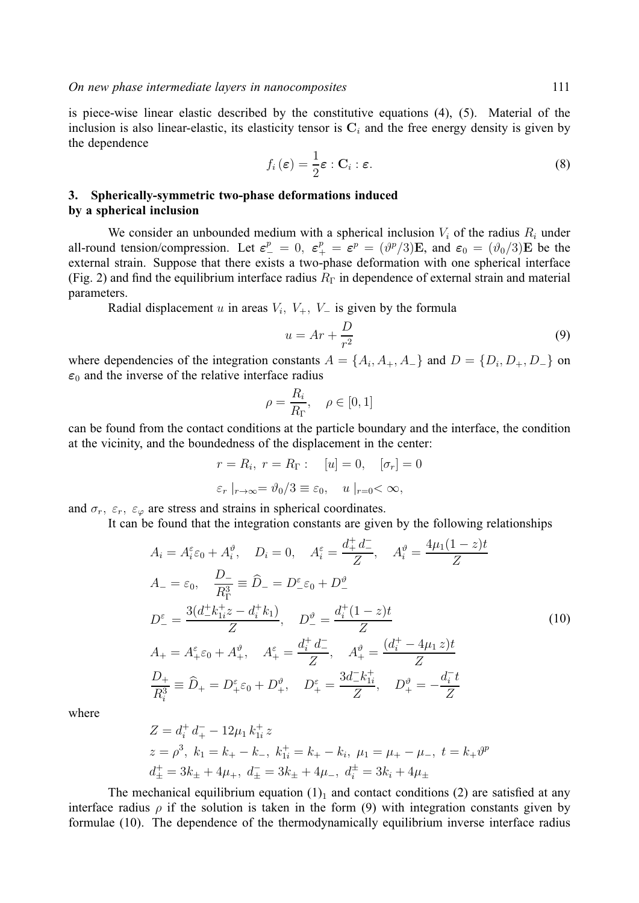is piece-wise linear elastic described by the constitutive equations (4), (5). Material of the inclusion is also linear-elastic, its elasticity tensor is  $C_i$  and the free energy density is given by the dependence

$$
f_i(\boldsymbol{\varepsilon}) = \frac{1}{2}\boldsymbol{\varepsilon} : \mathbf{C}_i : \boldsymbol{\varepsilon}.
$$
 (8)

# **3. Spherically-symmetric two-phase deformations induced by a spherical inclusion**

We consider an unbounded medium with a spherical inclusion  $V_i$  of the radius  $R_i$  under all-round tension/compression. Let  $\varepsilon_{-}^{p} = 0$ ,  $\varepsilon_{+}^{p} = \varepsilon_{-}^{p} = (\vartheta_{+}^{p}/3)E$ , and  $\varepsilon_{0} = (\vartheta_{0}/3)E$  be the external strain. Suppose that there exists a two-phase deformation with one spherical interface (Fig. 2) and find the equilibrium interface radius  $R_{\Gamma}$  in dependence of external strain and material parameters.

Radial displacement u in areas  $V_i$ ,  $V_+$ ,  $V_-$  is given by the formula

$$
u = Ar + \frac{D}{r^2} \tag{9}
$$

where dependencies of the integration constants  $A = \{A_i, A_+, A_-\}$  and  $D = \{D_i, D_+, D_-\}$  on  $\varepsilon_0$  and the inverse of the relative interface radius

$$
\rho = \frac{R_i}{R_{\Gamma}}, \quad \rho \in [0, 1]
$$

can be found from the contact conditions at the particle boundary and the interface, the condition at the vicinity, and the boundedness of the displacement in the center:

$$
r = R_i, r = R_{\Gamma} : [u] = 0, [\sigma_r] = 0
$$
  

$$
\varepsilon_r |_{r \to \infty} = \vartheta_0 / 3 \equiv \varepsilon_0, u |_{r=0} < \infty,
$$

and  $\sigma_r$ ,  $\varepsilon_r$ ,  $\varepsilon_{\varphi}$  are stress and strains in spherical coordinates.

It can be found that the integration constants are given by the following relationships

$$
A_{i} = A_{i}^{\varepsilon} \varepsilon_{0} + A_{i}^{\vartheta}, \quad D_{i} = 0, \quad A_{i}^{\varepsilon} = \frac{d_{+}^{+} d_{-}^{-}}{Z}, \quad A_{i}^{\vartheta} = \frac{4\mu_{1}(1-z)t}{Z}
$$
  
\n
$$
A_{-} = \varepsilon_{0}, \quad \frac{D_{-}}{R_{\Gamma}^{3}} \equiv \hat{D}_{-} = D_{-}^{\varepsilon} \varepsilon_{0} + D_{-}^{\vartheta}
$$
  
\n
$$
D_{-}^{\varepsilon} = \frac{3(d_{-}^{+} k_{1i}^{+} z - d_{i}^{+} k_{1})}{Z}, \quad D_{-}^{\vartheta} = \frac{d_{i}^{+}(1-z)t}{Z}
$$
  
\n
$$
A_{+} = A_{+}^{\varepsilon} \varepsilon_{0} + A_{+}^{\vartheta}, \quad A_{+}^{\varepsilon} = \frac{d_{i}^{+} d_{-}^{-}}{Z}, \quad A_{+}^{\vartheta} = \frac{(d_{i}^{+} - 4\mu_{1} z)t}{Z}
$$
  
\n
$$
\frac{D_{+}}{R_{i}^{3}} \equiv \hat{D}_{+} = D_{+}^{\varepsilon} \varepsilon_{0} + D_{+}^{\vartheta}, \quad D_{+}^{\varepsilon} = \frac{3d_{-}^{-} k_{1i}^{+}}{Z}, \quad D_{+}^{\vartheta} = -\frac{d_{i}^{-} t}{Z}
$$
  
\n(10)

where

$$
Z = d_i^+ d_+^- - 12\mu_1 k_{1i}^+ z
$$
  
\n
$$
z = \rho^3, k_1 = k_+ - k_-, k_{1i}^+ = k_+ - k_i, \mu_1 = \mu_+ - \mu_-, t = k_+ \vartheta^p
$$
  
\n
$$
d_{\pm}^+ = 3k_{\pm} + 4\mu_+, d_{\pm}^- = 3k_{\pm} + 4\mu_-, d_i^+ = 3k_i + 4\mu_{\pm}
$$

The mechanical equilibrium equation  $(1)_1$  and contact conditions  $(2)$  are satisfied at any interface radius  $\rho$  if the solution is taken in the form (9) with integration constants given by formulae (10). The dependence of the thermodynamically equilibrium inverse interface radius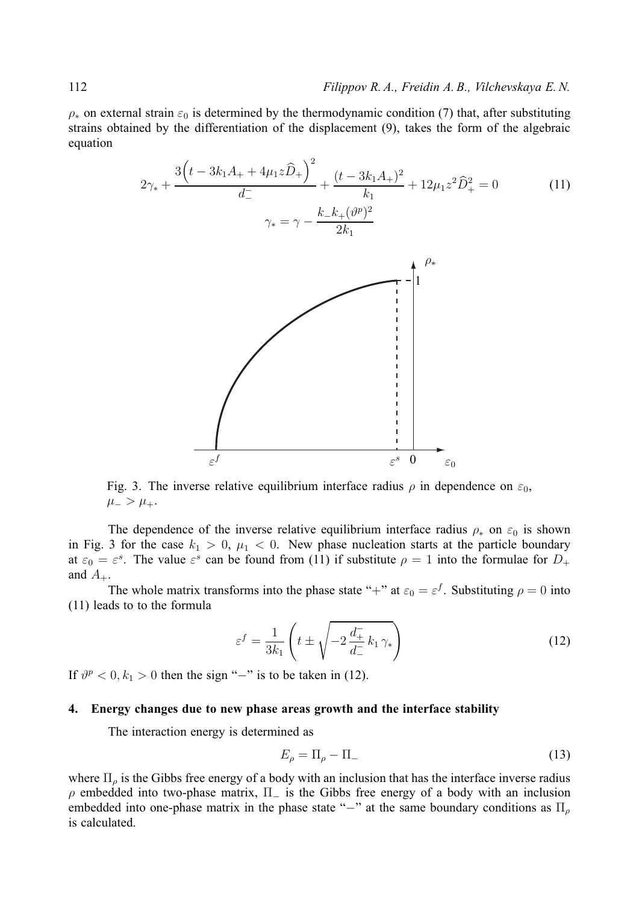$\rho_*$  on external strain  $\varepsilon_0$  is determined by the thermodynamic condition (7) that, after substituting strains obtained by the differentiation of the displacement (9), takes the form of the algebraic equation

$$
2\gamma_* + \frac{3\left(t - 3k_1A_+ + 4\mu_1z\hat{D}_+\right)^2}{d_-^+} + \frac{(t - 3k_1A_+)^2}{k_1} + 12\mu_1z^2\hat{D}_+^2 = 0\tag{11}
$$
  

$$
\gamma_* = \gamma - \frac{k_-k_+(\vartheta^p)^2}{2k_1}
$$



Fig. 3. The inverse relative equilibrium interface radius  $\rho$  in dependence on  $\varepsilon_0$ ,  $\mu_{-} > \mu_{+}.$ 

The dependence of the inverse relative equilibrium interface radius  $\rho_*$  on  $\varepsilon_0$  is shown in Fig. 3 for the case  $k_1 > 0$ ,  $\mu_1 < 0$ . New phase nucleation starts at the particle boundary at  $\varepsilon_0 = \varepsilon^s$ . The value  $\varepsilon^s$  can be found from (11) if substitute  $\rho = 1$  into the formulae for  $D_+$ and  $A_+$ .

The whole matrix transforms into the phase state "+" at  $\varepsilon_0 = \varepsilon^f$ . Substituting  $\rho = 0$  into (11) leads to to the formula

$$
\varepsilon^f = \frac{1}{3k_1} \left( t \pm \sqrt{-2 \frac{d_+^{\scriptscriptstyle -}}{d_-^{\scriptscriptstyle -}} k_1 \gamma_*} \right) \tag{12}
$$

If  $\vartheta^p < 0, k_1 > 0$  then the sign "−" is to be taken in (12).

## **4. Energy changes due to new phase areas growth and the interface stability**

The interaction energy is determined as

$$
E_{\rho} = \Pi_{\rho} - \Pi_{-} \tag{13}
$$

where  $\Pi_{\rho}$  is the Gibbs free energy of a body with an inclusion that has the interface inverse radius  $\rho$  embedded into two-phase matrix,  $\Pi$  is the Gibbs free energy of a body with an inclusion embedded into one-phase matrix in the phase state "−" at the same boundary conditions as  $\Pi_{\rho}$ is calculated.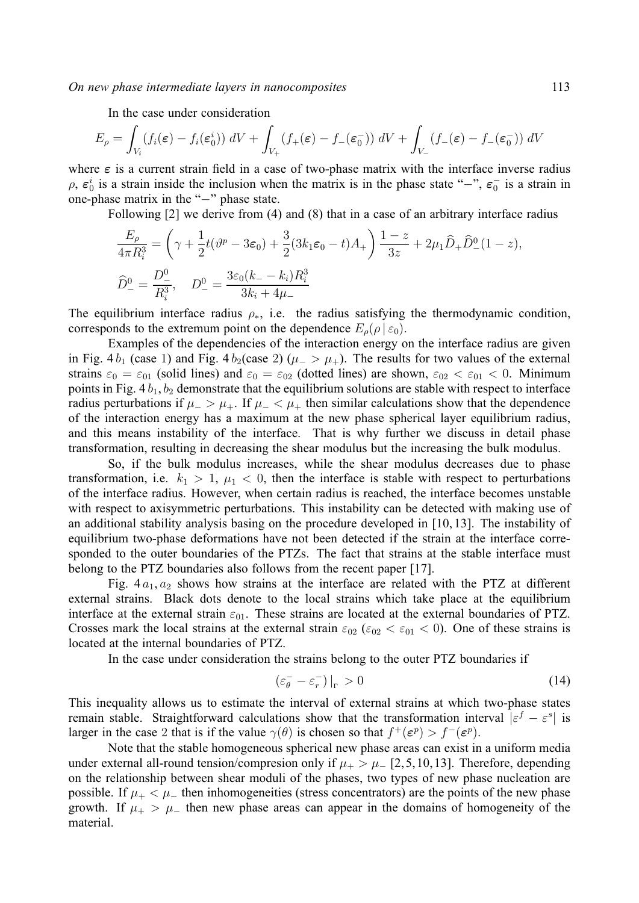*On new phase intermediate layers in nanocomposites* 113

In the case under consideration

$$
E_{\rho} = \int_{V_i} (f_i(\boldsymbol{\varepsilon}) - f_i(\boldsymbol{\varepsilon}_0^i)) dV + \int_{V_+} (f_+(\boldsymbol{\varepsilon}) - f_-(\boldsymbol{\varepsilon}_0^-)) dV + \int_{V_-} (f_-(\boldsymbol{\varepsilon}) - f_-(\boldsymbol{\varepsilon}_0^-)) dV
$$

where  $\varepsilon$  is a current strain field in a case of two-phase matrix with the interface inverse radius  $\rho$ ,  $\varepsilon_0^i$  is a strain inside the inclusion when the matrix is in the phase state "−",  $\varepsilon_0^-$  is a strain in one-phase matrix in the "−" phase state.

Following [2] we derive from (4) and (8) that in a case of an arbitrary interface radius

$$
\frac{E_{\rho}}{4\pi R_{i}^{3}} = \left(\gamma + \frac{1}{2}t(\vartheta^{p} - 3\varepsilon_{0}) + \frac{3}{2}(3k_{1}\varepsilon_{0} - t)A_{+}\right)\frac{1-z}{3z} + 2\mu_{1}\widehat{D}_{+}\widehat{D}_{-}^{0}(1-z),
$$
  

$$
\widehat{D}_{-}^{0} = \frac{D_{-}^{0}}{R_{i}^{3}}, \quad D_{-}^{0} = \frac{3\varepsilon_{0}(k_{-} - k_{i})R_{i}^{3}}{3k_{i} + 4\mu_{-}}
$$

The equilibrium interface radius  $\rho_{*}$ , i.e. the radius satisfying the thermodynamic condition, corresponds to the extremum point on the dependence  $E_{\rho}(\rho \,|\, \varepsilon_0)$ .

Examples of the dependencies of the interaction energy on the interface radius are given in Fig. 4  $b_1$  (case 1) and Fig. 4  $b_2$ (case 2) ( $\mu$  >  $\mu$ <sub>+</sub>). The results for two values of the external strains  $\varepsilon_0 = \varepsilon_{01}$  (solid lines) and  $\varepsilon_0 = \varepsilon_{02}$  (dotted lines) are shown,  $\varepsilon_{02} < \varepsilon_{01} < 0$ . Minimum points in Fig.  $4 b_1, b_2$  demonstrate that the equilibrium solutions are stable with respect to interface radius perturbations if  $\mu$  >  $\mu$ . If  $\mu$  <  $\mu$  then similar calculations show that the dependence of the interaction energy has a maximum at the new phase spherical layer equilibrium radius, and this means instability of the interface. That is why further we discuss in detail phase transformation, resulting in decreasing the shear modulus but the increasing the bulk modulus.

So, if the bulk modulus increases, while the shear modulus decreases due to phase transformation, i.e.  $k_1 > 1$ ,  $\mu_1 < 0$ , then the interface is stable with respect to perturbations of the interface radius. However, when certain radius is reached, the interface becomes unstable with respect to axisymmetric perturbations. This instability can be detected with making use of an additional stability analysis basing on the procedure developed in [10, 13]. The instability of equilibrium two-phase deformations have not been detected if the strain at the interface corresponded to the outer boundaries of the PTZs. The fact that strains at the stable interface must belong to the PTZ boundaries also follows from the recent paper [17].

Fig.  $4a_1, a_2$  shows how strains at the interface are related with the PTZ at different external strains. Black dots denote to the local strains which take place at the equilibrium interface at the external strain  $\varepsilon_{01}$ . These strains are located at the external boundaries of PTZ. Crosses mark the local strains at the external strain  $\varepsilon_{02}$  ( $\varepsilon_{02} < \varepsilon_{01} < 0$ ). One of these strains is located at the internal boundaries of PTZ.

In the case under consideration the strains belong to the outer PTZ boundaries if

$$
\left(\varepsilon_{\theta}^{-} - \varepsilon_{r}^{-}\right)\big|_{\Gamma} > 0\tag{14}
$$

This inequality allows us to estimate the interval of external strains at which two-phase states remain stable. Straightforward calculations show that the transformation interval  $|\varepsilon^f - \varepsilon^s|$  is larger in the case 2 that is if the value  $\gamma(\theta)$  is chosen so that  $f^+(\varepsilon^p) > f^-(\varepsilon^p)$ .

Note that the stable homogeneous spherical new phase areas can exist in a uniform media under external all-round tension/compresion only if  $\mu_{+} > \mu_{-}$  [2,5, 10, 13]. Therefore, depending on the relationship between shear moduli of the phases, two types of new phase nucleation are possible. If  $\mu_+ < \mu_-$  then inhomogeneities (stress concentrators) are the points of the new phase growth. If  $\mu_{+} > \mu_{-}$  then new phase areas can appear in the domains of homogeneity of the material.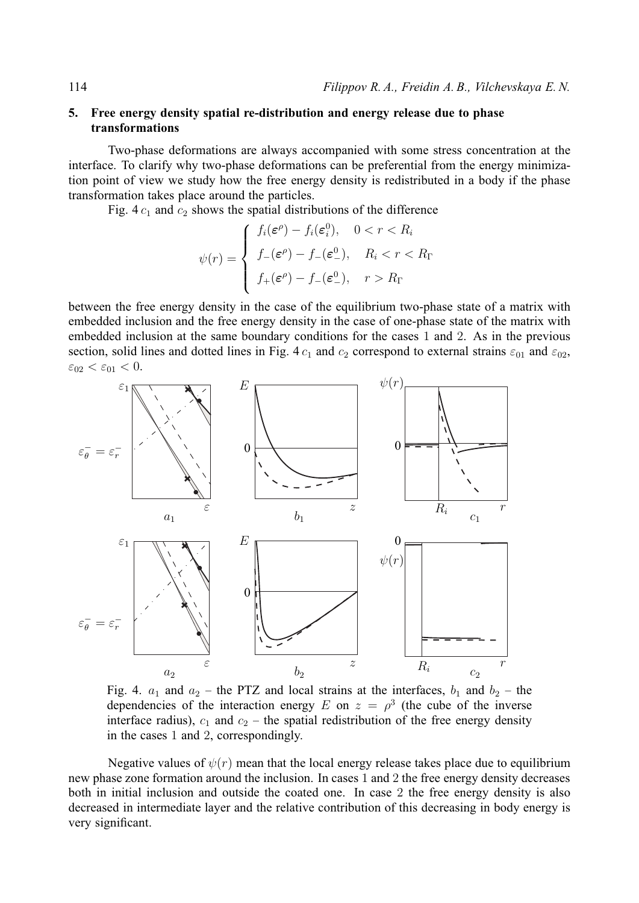# **5. Free energy density spatial re-distribution and energy release due to phase transformations**

Two-phase deformations are always accompanied with some stress concentration at the interface. To clarify why two-phase deformations can be preferential from the energy minimization point of view we study how the free energy density is redistributed in a body if the phase transformation takes place around the particles.

Fig. 4  $c_1$  and  $c_2$  shows the spatial distributions of the difference

$$
\psi(r) = \begin{cases}\nf_i(\varepsilon^\rho) - f_i(\varepsilon_i^0), & 0 < r < R_i \\
f_-(\varepsilon^\rho) - f_-(\varepsilon_-^0), & R_i < r < R_\Gamma \\
f_+(\varepsilon^\rho) - f_-(\varepsilon_-^0), & r > R_\Gamma\n\end{cases}
$$

between the free energy density in the case of the equilibrium two-phase state of a matrix with embedded inclusion and the free energy density in the case of one-phase state of the matrix with embedded inclusion at the same boundary conditions for the cases 1 and 2. As in the previous section, solid lines and dotted lines in Fig. 4  $c_1$  and  $c_2$  correspond to external strains  $\varepsilon_{01}$  and  $\varepsilon_{02}$ ,  $\varepsilon_{02} < \varepsilon_{01} < 0.$ 



Fig. 4.  $a_1$  and  $a_2$  – the PTZ and local strains at the interfaces,  $b_1$  and  $b_2$  – the dependencies of the interaction energy E on  $z = \rho^3$  (the cube of the inverse interface radius),  $c_1$  and  $c_2$  – the spatial redistribution of the free energy density in the cases 1 and 2, correspondingly.

Negative values of  $\psi(r)$  mean that the local energy release takes place due to equilibrium new phase zone formation around the inclusion. In cases 1 and 2 the free energy density decreases both in initial inclusion and outside the coated one. In case 2 the free energy density is also decreased in intermediate layer and the relative contribution of this decreasing in body energy is very significant.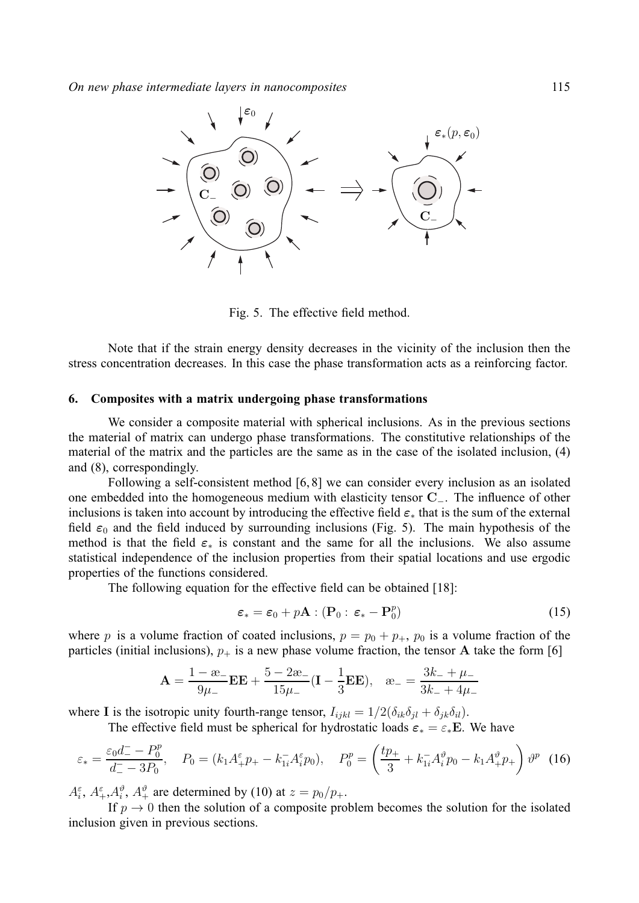

Fig. 5. The effective field method.

Note that if the strain energy density decreases in the vicinity of the inclusion then the stress concentration decreases. In this case the phase transformation acts as a reinforcing factor.

#### **6. Composites with a matrix undergoing phase transformations**

We consider a composite material with spherical inclusions. As in the previous sections the material of matrix can undergo phase transformations. The constitutive relationships of the material of the matrix and the particles are the same as in the case of the isolated inclusion, (4) and (8), correspondingly.

Following a self-consistent method [6, 8] we can consider every inclusion as an isolated one embedded into the homogeneous medium with elasticity tensor **C**−. The influence of other inclusions is taken into account by introducing the effective field  $\varepsilon_*$  that is the sum of the external field  $\varepsilon_0$  and the field induced by surrounding inclusions (Fig. 5). The main hypothesis of the method is that the field  $\varepsilon_*$  is constant and the same for all the inclusions. We also assume statistical independence of the inclusion properties from their spatial locations and use ergodic properties of the functions considered.

The following equation for the effective field can be obtained [18]:

$$
\varepsilon_* = \varepsilon_0 + p\mathbf{A} : (\mathbf{P}_0 : \varepsilon_* - \mathbf{P}_0^p)
$$
 (15)

where p is a volume fraction of coated inclusions,  $p = p_0 + p_+$ ,  $p_0$  is a volume fraction of the particles (initial inclusions),  $p_+$  is a new phase volume fraction, the tensor A take the form [6]

$$
\mathbf{A} = \frac{1 - \mathbf{\omega}_-}{9\mu_-} \mathbf{E} \mathbf{E} + \frac{5 - 2\mathbf{\omega}_-}{15\mu_-} (\mathbf{I} - \frac{1}{3} \mathbf{E} \mathbf{E}), \quad \mathbf{\omega}_- = \frac{3k_- + \mu_-}{3k_- + 4\mu_-}
$$

where **I** is the isotropic unity fourth-range tensor,  $I_{ijkl} = 1/2(\delta_{ik}\delta_{jl} + \delta_{jk}\delta_{il}).$ 

The effective field must be spherical for hydrostatic loads  $\varepsilon_* = \varepsilon_* E$ . We have

$$
\varepsilon_* = \frac{\varepsilon_0 d_-^2 - P_0^p}{d_-^2 - 3P_0}, \quad P_0 = (k_1 A_+^{\varepsilon} p_+ - k_{1i}^- A_i^{\varepsilon} p_0), \quad P_0^p = \left(\frac{tp_+}{3} + k_{1i}^- A_i^p p_0 - k_1 A_+^p p_+\right) \vartheta^p \tag{16}
$$

 $A_i^{\varepsilon}, A_i^{\varepsilon}, A_i^{\vartheta}, A_{+}^{\vartheta}$  are determined by (10) at  $z = p_0/p_+$ .

If  $p \to 0$  then the solution of a composite problem becomes the solution for the isolated inclusion given in previous sections.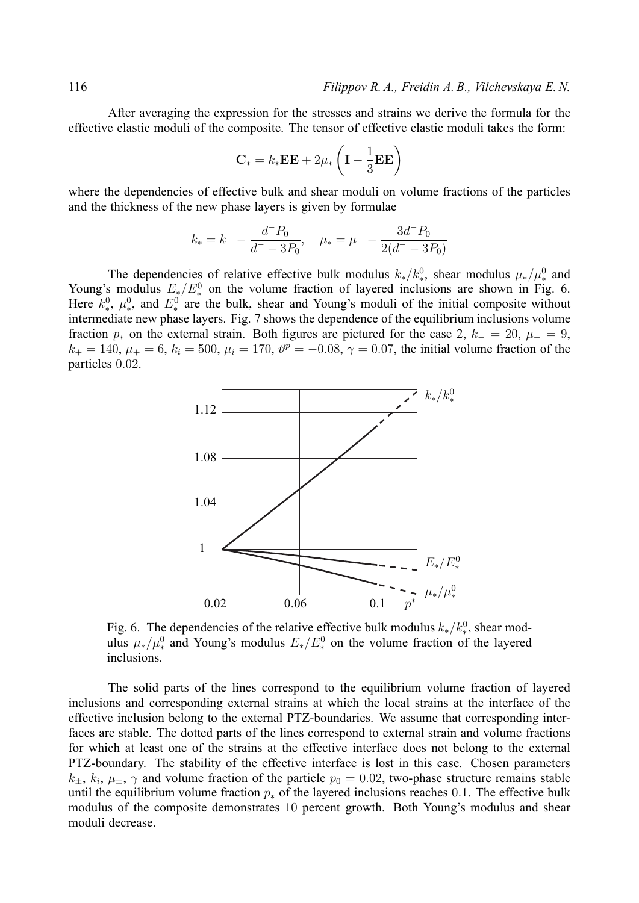After averaging the expression for the stresses and strains we derive the formula for the effective elastic moduli of the composite. The tensor of effective elastic moduli takes the form:

$$
\mathbf{C}_{*} = k_{*} \mathbf{E} \mathbf{E} + 2\mu_{*} \left( \mathbf{I} - \frac{1}{3} \mathbf{E} \mathbf{E} \right)
$$

where the dependencies of effective bulk and shear moduli on volume fractions of the particles and the thickness of the new phase layers is given by formulae

$$
k_* = k_- - \frac{d_-P_0}{d_- - 3P_0}, \quad \mu_* = \mu_- - \frac{3d_-P_0}{2(d_- - 3P_0)}
$$

The dependencies of relative effective bulk modulus  $k_*/k_*^0$ , shear modulus  $\mu_*/\mu_*^0$  and Young's modulus  $E_*/E_*^0$  on the volume fraction of layered inclusions are shown in Fig. 6. Here  $k_*^0$ ,  $\mu_*^0$ , and  $E_*^0$  are the bulk, shear and Young's moduli of the initial composite without intermediate new phase layers. Fig. 7 shows the dependence of the equilibrium inclusions volume fraction  $p_*$  on the external strain. Both figures are pictured for the case 2,  $k_-=20$ ,  $\mu_-=9$ ,  $k_+ = 140, \mu_+ = 6, k_i = 500, \mu_i = 170, \vartheta^p = -0.08, \gamma = 0.07$ , the initial volume fraction of the particles 0.02.



Fig. 6. The dependencies of the relative effective bulk modulus  $k_*/k_*^0$ , shear modulus  $\mu_*/\mu_*^0$  and Young's modulus  $E_*/E_*^0$  on the volume fraction of the layered inclusions.

The solid parts of the lines correspond to the equilibrium volume fraction of layered inclusions and corresponding external strains at which the local strains at the interface of the effective inclusion belong to the external PTZ-boundaries. We assume that corresponding interfaces are stable. The dotted parts of the lines correspond to external strain and volume fractions for which at least one of the strains at the effective interface does not belong to the external PTZ-boundary. The stability of the effective interface is lost in this case. Chosen parameters  $k_{+}$ ,  $k_{i}$ ,  $\mu_{+}$ ,  $\gamma$  and volume fraction of the particle  $p_{0} = 0.02$ , two-phase structure remains stable until the equilibrium volume fraction  $p_*$  of the layered inclusions reaches 0.1. The effective bulk modulus of the composite demonstrates 10 percent growth. Both Young's modulus and shear moduli decrease.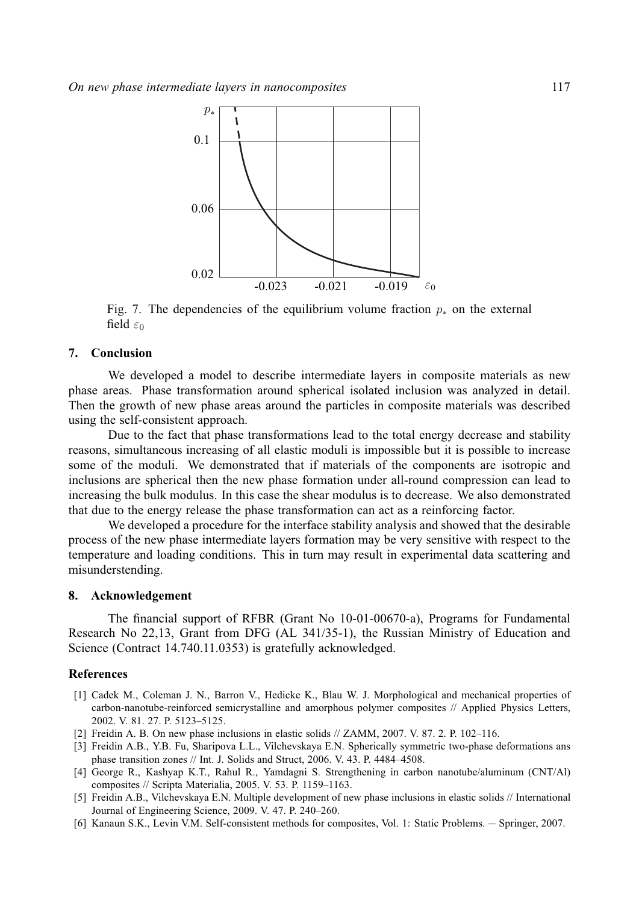

Fig. 7. The dependencies of the equilibrium volume fraction  $p_*$  on the external field  $\varepsilon_0$ 

# **7. Conclusion**

We developed a model to describe intermediate layers in composite materials as new phase areas. Phase transformation around spherical isolated inclusion was analyzed in detail. Then the growth of new phase areas around the particles in composite materials was described using the self-consistent approach.

Due to the fact that phase transformations lead to the total energy decrease and stability reasons, simultaneous increasing of all elastic moduli is impossible but it is possible to increase some of the moduli. We demonstrated that if materials of the components are isotropic and inclusions are spherical then the new phase formation under all-round compression can lead to increasing the bulk modulus. In this case the shear modulus is to decrease. We also demonstrated that due to the energy release the phase transformation can act as a reinforcing factor.

We developed a procedure for the interface stability analysis and showed that the desirable process of the new phase intermediate layers formation may be very sensitive with respect to the temperature and loading conditions. This in turn may result in experimental data scattering and misunderstending.

# **8. Acknowledgement**

The financial support of RFBR (Grant No 10-01-00670-a), Programs for Fundamental Research No 22,13, Grant from DFG (AL 341/35-1), the Russian Ministry of Education and Science (Contract 14.740.11.0353) is gratefully acknowledged.

#### **References**

- [1] Cadek M., Coleman J. N., Barron V., Hedicke K., Blau W. J. Morphological and mechanical properties of carbon-nanotube-reinforced semicrystalline and amorphous polymer composites // Applied Physics Letters, 2002. V. 81. 27. P. 5123–5125.
- [2] Freidin A. B. On new phase inclusions in elastic solids // ZAMM, 2007. V. 87. 2. P. 102–116.
- [3] Freidin A.B., Y.B. Fu, Sharipova L.L., Vilchevskaya E.N. Spherically symmetric two-phase deformations ans phase transition zones // Int. J. Solids and Struct, 2006. V. 43. P. 4484–4508.
- [4] George R., Kashyap K.T., Rahul R., Yamdagni S. Strengthening in carbon nanotube/aluminum (CNT/Al) composites // Scripta Materialia, 2005. V. 53. P. 1159–1163.
- [5] Freidin A.B., Vilchevskaya E.N. Multiple development of new phase inclusions in elastic solids // International Journal of Engineering Science, 2009. V. 47. P. 240–260.
- [6] Kanaun S.K., Levin V.M. Self-consistent methods for composites, Vol. 1: Static Problems. Springer, 2007.